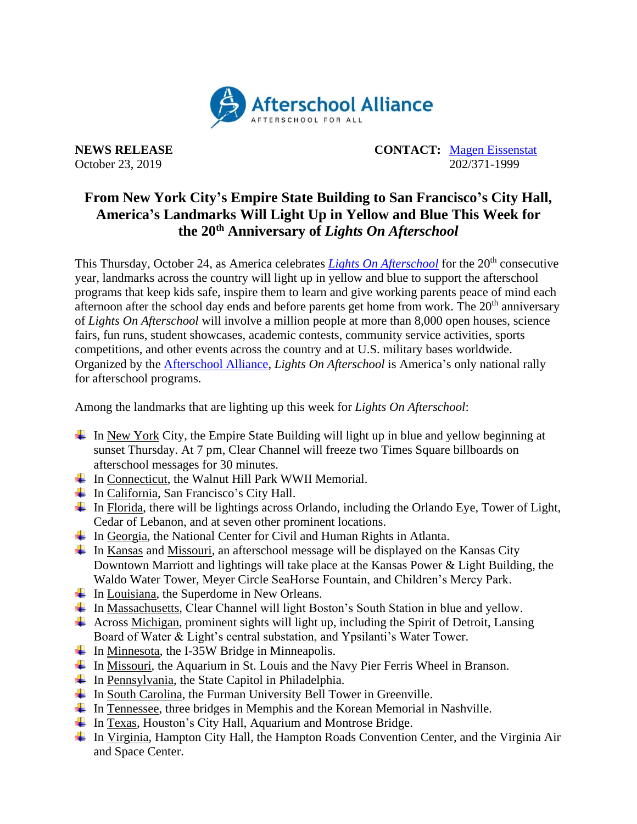

**NEWS RELEASE CONTACT:** [Magen Eissenstat](mailto:magen@prsolutionsdc.com) October 23, 2019 202/371-1999

## **From New York City's Empire State Building to San Francisco's City Hall, America's Landmarks Will Light Up in Yellow and Blue This Week for the 20th Anniversary of** *Lights On Afterschool*

This Thursday, October 24, as America celebrates *[Lights On Afterschool](http://www.afterschoolalliance.org/loa.cfm)* for the 20<sup>th</sup> consecutive year, landmarks across the country will light up in yellow and blue to support the afterschool programs that keep kids safe, inspire them to learn and give working parents peace of mind each afternoon after the school day ends and before parents get home from work. The  $20<sup>th</sup>$  anniversary of *Lights On Afterschool* will involve a million people at more than 8,000 open houses, science fairs, fun runs, student showcases, academic contests, community service activities, sports competitions, and other events across the country and at U.S. military bases worldwide. Organized by the [Afterschool Alliance,](http://www.afterschoolalliance.org/) *Lights On Afterschool* is America's only national rally for afterschool programs.

Among the landmarks that are lighting up this week for *Lights On Afterschool*:

- $\perp$  In New York City, the Empire State Building will light up in blue and yellow beginning at sunset Thursday. At 7 pm, Clear Channel will freeze two Times Square billboards on afterschool messages for 30 minutes.
- $\overline{\text{I}}$  In Connecticut, the Walnut Hill Park WWII Memorial.
- $\overline{\phantom{A}}$  In California, San Francisco's City Hall.
- $\ddot{\text{I}}$  In Florida, there will be lightings across Orlando, including the Orlando Eye, Tower of Light, Cedar of Lebanon, and at seven other prominent locations.
- $\overline{\phantom{a}}$  In Georgia, the National Center for Civil and Human Rights in Atlanta.
- $\perp$  In Kansas and Missouri, an afterschool message will be displayed on the Kansas City Downtown Marriott and lightings will take place at the Kansas Power & Light Building, the Waldo Water Tower, Meyer Circle SeaHorse Fountain, and Children's Mercy Park.
- $\overline{\phantom{a}}$  In Louisiana, the Superdome in New Orleans.
- $\ddot{\bullet}$  In Massachusetts, Clear Channel will light Boston's South Station in blue and yellow.
- $\overline{\phantom{a}}$  Across Michigan, prominent sights will light up, including the Spirit of Detroit, Lansing Board of Water & Light's central substation, and Ypsilanti's Water Tower.
- $\overline{\text{I}}$  In Minnesota, the I-35W Bridge in Minneapolis.
- $\ddot{\textbf{I}}$  In Missouri, the Aquarium in St. Louis and the Navy Pier Ferris Wheel in Branson.
- $\ddot{\bullet}$  In Pennsylvania, the State Capitol in Philadelphia.
- $\ddot{\text{I}}$  In South Carolina, the Furman University Bell Tower in Greenville.
- In Tennessee, three bridges in Memphis and the Korean Memorial in Nashville.
- $\overline{\phantom{a}}$  In Texas, Houston's City Hall, Aquarium and Montrose Bridge.
- In Virginia, Hampton City Hall, the Hampton Roads Convention Center, and the Virginia Air and Space Center.